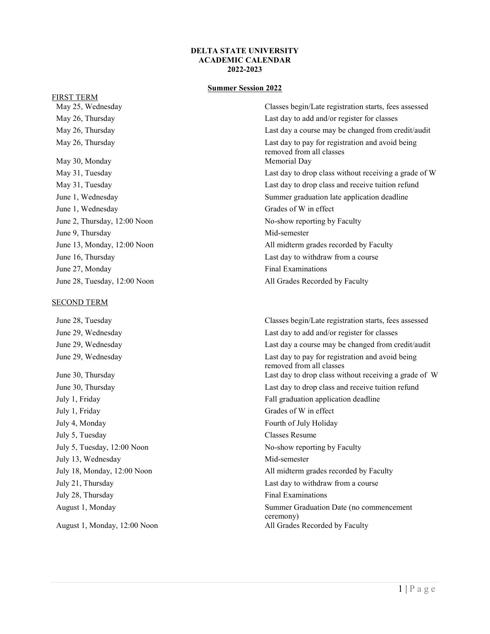#### **DELTA STATE UNIVERSITY ACADEMIC CALENDAR 2022-2023**

# **Summer Session 2022**

#### FIRST TERM

May 30, Monday Memorial Day June 1, Wednesday Grades of W in effect June 9, Thursday Mid-semester June 27, Monday Final Examinations June 28, Tuesday, 12:00 Noon All Grades Recorded by Faculty

#### SECOND TERM

July 1, Friday Grades of W in effect July 4, Monday **Fourth of July Holiday** July 5, Tuesday Classes Resume July 13, Wednesday Mid-semester July 28, Thursday Final Examinations

May 25, Wednesday Classes begin/Late registration starts, fees assessed May 26, Thursday **Last day to add and/or register for classes** May 26, Thursday May 26, Thursday Last day a course may be changed from credit/audit May 26, Thursday Last day to pay for registration and avoid being removed from all classes May 31, Tuesday Last day to drop class without receiving a grade of W May 31, Tuesday Last day to drop class and receive tuition refund June 1, Wednesday Summer graduation late application deadline June 2, Thursday, 12:00 Noon No-show reporting by Faculty June 13, Monday, 12:00 Noon All midterm grades recorded by Faculty June 16, Thursday Last day to withdraw from a course

June 28, Tuesday Classes begin/Late registration starts, fees assessed June 29, Wednesday Last day to add and/or register for classes June 29, Wednesday Last day a course may be changed from credit/audit June 29, Wednesday Last day to pay for registration and avoid being removed from all classes June 30, Thursday Last day to drop class without receiving a grade of W June 30, Thursday Last day to drop class and receive tuition refund July 1, Friday Fall graduation application deadline July 5, Tuesday, 12:00 Noon No-show reporting by Faculty July 18, Monday, 12:00 Noon All midterm grades recorded by Faculty July 21, Thursday Last day to withdraw from a course August 1, Monday Summer Graduation Date (no commencement ceremony) August 1, Monday, 12:00 Noon All Grades Recorded by Faculty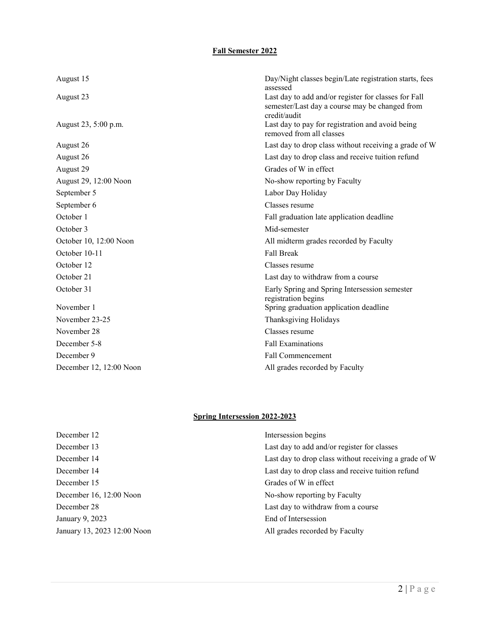# **Fall Semester 2022**

| August 15               | Day/Night classes begin/Late registration starts, fees<br>assessed                                                     |
|-------------------------|------------------------------------------------------------------------------------------------------------------------|
| August 23               | Last day to add and/or register for classes for Fall<br>semester/Last day a course may be changed from<br>credit/audit |
| August 23, 5:00 p.m.    | Last day to pay for registration and avoid being<br>removed from all classes                                           |
| August 26               | Last day to drop class without receiving a grade of W                                                                  |
| August 26               | Last day to drop class and receive tuition refund                                                                      |
| August 29               | Grades of W in effect                                                                                                  |
| August 29, 12:00 Noon   | No-show reporting by Faculty                                                                                           |
| September 5             | Labor Day Holiday                                                                                                      |
| September 6             | Classes resume                                                                                                         |
| October 1               | Fall graduation late application deadline                                                                              |
| October 3               | Mid-semester                                                                                                           |
| October 10, 12:00 Noon  | All midterm grades recorded by Faculty                                                                                 |
| October 10-11           | <b>Fall Break</b>                                                                                                      |
| October 12              | Classes resume                                                                                                         |
| October 21              | Last day to withdraw from a course                                                                                     |
| October 31              | Early Spring and Spring Intersession semester<br>registration begins                                                   |
| November 1              | Spring graduation application deadline                                                                                 |
| November 23-25          | Thanksgiving Holidays                                                                                                  |
| November 28             | Classes resume                                                                                                         |
| December 5-8            | <b>Fall Examinations</b>                                                                                               |
| December 9              | Fall Commencement                                                                                                      |
| December 12, 12:00 Noon | All grades recorded by Faculty                                                                                         |

# **Spring Intersession 2022-2023**

| December 12                 | Intersession begins                                   |
|-----------------------------|-------------------------------------------------------|
| December 13                 | Last day to add and/or register for classes           |
| December 14                 | Last day to drop class without receiving a grade of W |
| December 14                 | Last day to drop class and receive tuition refund     |
| December 15                 | Grades of W in effect                                 |
| December 16, 12:00 Noon     | No-show reporting by Faculty                          |
| December 28                 | Last day to withdraw from a course                    |
| January 9, 2023             | End of Intersession                                   |
| January 13, 2023 12:00 Noon | All grades recorded by Faculty                        |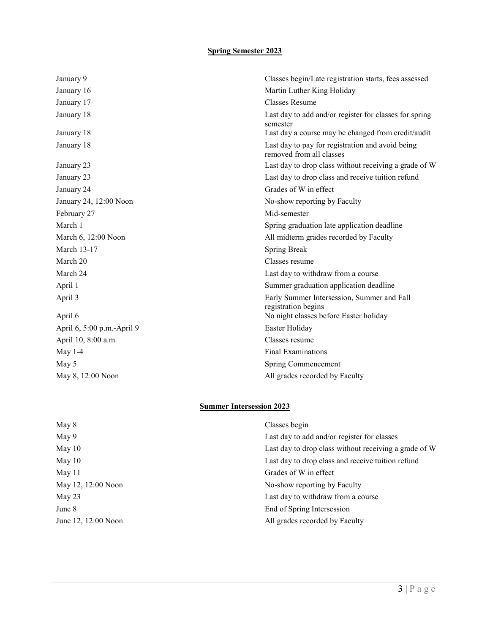## **Spring Semester 2023**

| January 9                  | Classes begin/Late registration starts, fees assessed                        |
|----------------------------|------------------------------------------------------------------------------|
| January 16                 | Martin Luther King Holiday                                                   |
| January 17                 | <b>Classes Resume</b>                                                        |
| January 18                 | Last day to add and/or register for classes for spring<br>semester           |
| January 18                 | Last day a course may be changed from credit/audit                           |
| January 18                 | Last day to pay for registration and avoid being<br>removed from all classes |
| January 23                 | Last day to drop class without receiving a grade of W                        |
| January 23                 | Last day to drop class and receive tuition refund                            |
| January 24                 | Grades of W in effect                                                        |
| January 24, 12:00 Noon     | No-show reporting by Faculty                                                 |
| February 27                | Mid-semester                                                                 |
| March 1                    | Spring graduation late application deadline                                  |
| March 6, 12:00 Noon        | All midterm grades recorded by Faculty                                       |
| March 13-17                | <b>Spring Break</b>                                                          |
| March 20                   | Classes resume                                                               |
| March 24                   | Last day to withdraw from a course                                           |
| April 1                    | Summer graduation application deadline                                       |
| April 3                    | Early Summer Intersession, Summer and Fall<br>registration begins            |
| April 6                    | No night classes before Easter holiday                                       |
| April 6, 5:00 p.m.-April 9 | Easter Holiday                                                               |
| April 10, 8:00 a.m.        | Classes resume                                                               |
| May $1-4$                  | <b>Final Examinations</b>                                                    |
| May 5                      | Spring Commencement                                                          |
| May 8, 12:00 Noon          | All grades recorded by Faculty                                               |

# **Summer Intersession 2023**

| May 8               | Classes begin                                         |
|---------------------|-------------------------------------------------------|
| May 9               | Last day to add and/or register for classes           |
| May 10              | Last day to drop class without receiving a grade of W |
| May $10$            | Last day to drop class and receive tuition refund     |
| May 11              | Grades of W in effect                                 |
| May 12, 12:00 Noon  | No-show reporting by Faculty                          |
| May 23              | Last day to withdraw from a course                    |
| June 8              | End of Spring Intersession                            |
| June 12, 12:00 Noon | All grades recorded by Faculty                        |